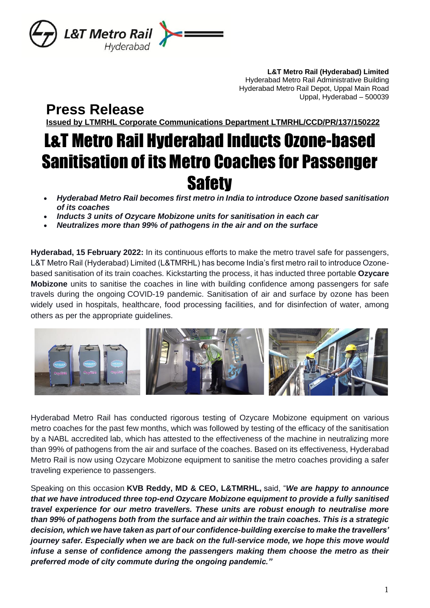

**L&T Metro Rail (Hyderabad) Limited** Hyderabad Metro Rail Administrative Building Hyderabad Metro Rail Depot, Uppal Main Road Uppal, Hyderabad – 500039

**Press Release**

**Issued by LTMRHL Corporate Communications Department LTMRHL/CCD/PR/137/150222**

# L&T Metro Rail Hyderabad Inducts Ozone-based Sanitisation of its Metro Coaches for Passenger **Safety**

- *Hyderabad Metro Rail becomes first metro in India to introduce Ozone based sanitisation of its coaches*
- *Inducts 3 units of Ozycare Mobizone units for sanitisation in each car*
- *Neutralizes more than 99% of pathogens in the air and on the surface*

**Hyderabad, 15 February 2022:** In its continuous efforts to make the metro travel safe for passengers, L&T Metro Rail (Hyderabad) Limited (L&TMRHL) has become India's first metro rail to introduce Ozonebased sanitisation of its train coaches. Kickstarting the process, it has inducted three portable **Ozycare Mobizone** units to sanitise the coaches in line with building confidence among passengers for safe travels during the ongoing COVID-19 pandemic. Sanitisation of air and surface by ozone has been widely used in hospitals, healthcare, food processing facilities, and for disinfection of water, among others as per the appropriate guidelines.



Hyderabad Metro Rail has conducted rigorous testing of Ozycare Mobizone equipment on various metro coaches for the past few months, which was followed by testing of the efficacy of the sanitisation by a NABL accredited lab, which has attested to the effectiveness of the machine in neutralizing more than 99% of pathogens from the air and surface of the coaches. Based on its effectiveness, Hyderabad Metro Rail is now using Ozycare Mobizone equipment to sanitise the metro coaches providing a safer traveling experience to passengers.

Speaking on this occasion **KVB Reddy, MD & CEO, L&TMRHL,** said, "*We are happy to announce that we have introduced three top-end Ozycare Mobizone equipment to provide a fully sanitised travel experience for our metro travellers. These units are robust enough to neutralise more than 99% of pathogens both from the surface and air within the train coaches. This is a strategic decision, which we have taken as part of our confidence-building exercise to make the travellers' journey safer. Especially when we are back on the full-service mode, we hope this move would infuse a sense of confidence among the passengers making them choose the metro as their preferred mode of city commute during the ongoing pandemic."*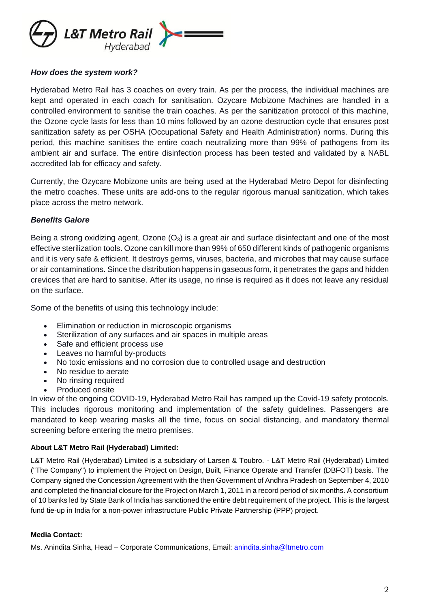

#### *How does the system work?*

Hyderabad Metro Rail has 3 coaches on every train. As per the process, the individual machines are kept and operated in each coach for sanitisation. Ozycare Mobizone Machines are handled in a controlled environment to sanitise the train coaches. As per the sanitization protocol of this machine, the Ozone cycle lasts for less than 10 mins followed by an ozone destruction cycle that ensures post sanitization safety as per OSHA (Occupational Safety and Health Administration) norms. During this period, this machine sanitises the entire coach neutralizing more than 99% of pathogens from its ambient air and surface. The entire disinfection process has been tested and validated by a NABL accredited lab for efficacy and safety.

Currently, the Ozycare Mobizone units are being used at the Hyderabad Metro Depot for disinfecting the metro coaches. These units are add-ons to the regular rigorous manual sanitization, which takes place across the metro network.

## *Benefits Galore*

Being a strong oxidizing agent, Ozone  $(O_3)$  is a great air and surface disinfectant and one of the most effective sterilization tools. Ozone can kill more than 99% of 650 different kinds of pathogenic organisms and it is very safe & efficient. It destroys germs, viruses, bacteria, and microbes that may cause surface or air contaminations. Since the distribution happens in gaseous form, it penetrates the gaps and hidden crevices that are hard to sanitise. After its usage, no rinse is required as it does not leave any residual on the surface.

Some of the benefits of using this technology include:

- Elimination or reduction in microscopic organisms
- Sterilization of any surfaces and air spaces in multiple areas
- Safe and efficient process use
- Leaves no harmful by-products
- No toxic emissions and no corrosion due to controlled usage and destruction
- No residue to aerate
- No rinsing required
- Produced onsite

In view of the ongoing COVID-19, Hyderabad Metro Rail has ramped up the Covid-19 safety protocols. This includes rigorous monitoring and implementation of the safety guidelines. Passengers are mandated to keep wearing masks all the time, focus on social distancing, and mandatory thermal screening before entering the metro premises.

## **About L&T Metro Rail (Hyderabad) Limited:**

L&T Metro Rail (Hyderabad) Limited is a subsidiary of Larsen & Toubro. - L&T Metro Rail (Hyderabad) Limited ("The Company") to implement the Project on Design, Built, Finance Operate and Transfer (DBFOT) basis. The Company signed the Concession Agreement with the then Government of Andhra Pradesh on September 4, 2010 and completed the financial closure for the Project on March 1, 2011 in a record period of six months. A consortium of 10 banks led by State Bank of India has sanctioned the entire debt requirement of the project. This is the largest fund tie-up in India for a non-power infrastructure Public Private Partnership (PPP) project.

#### **Media Contact:**

Ms. Anindita Sinha, Head – Corporate Communications, Email: [anindita.sinha@ltmetro.com](mailto:anindita.sinha@ltmetro.com)